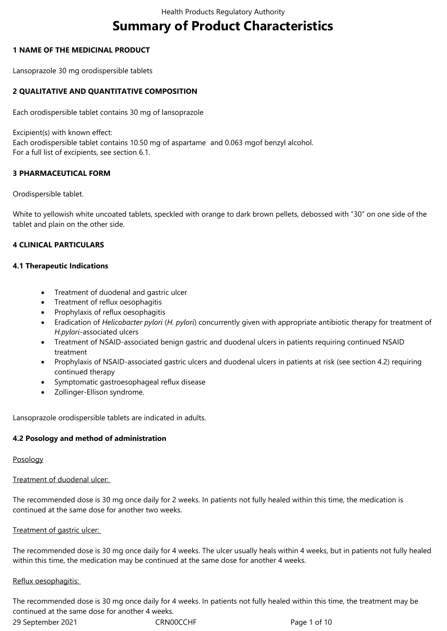# **Summary of Product Characteristics**

## **1 NAME OF THE MEDICINAL PRODUCT**

Lansoprazole 30 mg orodispersible tablets

# **2 QUALITATIVE AND QUANTITATIVE COMPOSITION**

Each orodispersible tablet contains 30 mg of lansoprazole

Excipient(s) with known effect: Each orodispersible tablet contains 10.50 mg of aspartame and 0.063 mgof benzyl alcohol. For a full list of excipients, see section 6.1.

## **3 PHARMACEUTICAL FORM**

#### Orodispersible tablet.

White to yellowish white uncoated tablets, speckled with orange to dark brown pellets, debossed with "30" on one side of the tablet and plain on the other side.

## **4 CLINICAL PARTICULARS**

#### **4.1 Therapeutic Indications**

- Treatment of duodenal and gastric ulcer
- Treatment of reflux oesophagitis
- Prophylaxis of reflux oesophagitis
- Eradication of *Helicobacter pylori* (*H. pylori*) concurrently given with appropriate antibiotic therapy for treatment of *H.pylori*-associated ulcers
- Treatment of NSAID-associated benign gastric and duodenal ulcers in patients requiring continued NSAID treatment
- Prophylaxis of NSAID-associated gastric ulcers and duodenal ulcers in patients at risk (see section 4.2) requiring continued therapy
- Symptomatic gastroesophageal reflux disease
- Zollinger-Ellison syndrome.

Lansoprazole orodispersible tablets are indicated in adults.

#### **4.2 Posology and method of administration**

#### Posology

Treatment of duodenal ulcer:

The recommended dose is 30 mg once daily for 2 weeks. In patients not fully healed within this time, the medication is continued at the same dose for another two weeks.

#### Treatment of gastric ulcer:

The recommended dose is 30 mg once daily for 4 weeks. The ulcer usually heals within 4 weeks, but in patients not fully healed within this time, the medication may be continued at the same dose for another 4 weeks.

#### Reflux oesophagitis:

The recommended dose is 30 mg once daily for 4 weeks. In patients not fully healed within this time, the treatment may be continued at the same dose for another 4 weeks.

29 September 2021 CRN00CCHF Page 1 of 10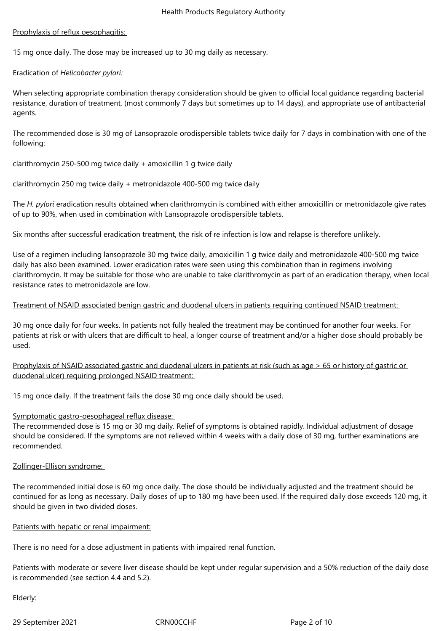## Prophylaxis of reflux oesophagitis:

15 mg once daily. The dose may be increased up to 30 mg daily as necessary.

## Eradication of *Helicobacter pylori:*

When selecting appropriate combination therapy consideration should be given to official local guidance regarding bacterial resistance, duration of treatment, (most commonly 7 days but sometimes up to 14 days), and appropriate use of antibacterial agents.

The recommended dose is 30 mg of Lansoprazole orodispersible tablets twice daily for 7 days in combination with one of the following:

clarithromycin 250-500 mg twice daily + amoxicillin 1 g twice daily

clarithromycin 250 mg twice daily + metronidazole 400-500 mg twice daily

The *H. pylori* eradication results obtained when clarithromycin is combined with either amoxicillin or metronidazole give rates of up to 90%, when used in combination with Lansoprazole orodispersible tablets.

Six months after successful eradication treatment, the risk of re infection is low and relapse is therefore unlikely.

Use of a regimen including lansoprazole 30 mg twice daily, amoxicillin 1 g twice daily and metronidazole 400-500 mg twice daily has also been examined. Lower eradication rates were seen using this combination than in regimens involving clarithromycin. It may be suitable for those who are unable to take clarithromycin as part of an eradication therapy, when local resistance rates to metronidazole are low.

## Treatment of NSAID associated benign gastric and duodenal ulcers in patients requiring continued NSAID treatment:

30 mg once daily for four weeks. In patients not fully healed the treatment may be continued for another four weeks. For patients at risk or with ulcers that are difficult to heal, a longer course of treatment and/or a higher dose should probably be used.

Prophylaxis of NSAID associated gastric and duodenal ulcers in patients at risk (such as age > 65 or history of gastric or duodenal ulcer) requiring prolonged NSAID treatment:

15 mg once daily. If the treatment fails the dose 30 mg once daily should be used.

#### Symptomatic gastro-oesophageal reflux disease:

The recommended dose is 15 mg or 30 mg daily. Relief of symptoms is obtained rapidly. Individual adjustment of dosage should be considered. If the symptoms are not relieved within 4 weeks with a daily dose of 30 mg, further examinations are recommended.

#### Zollinger-Ellison syndrome:

The recommended initial dose is 60 mg once daily. The dose should be individually adjusted and the treatment should be continued for as long as necessary. Daily doses of up to 180 mg have been used. If the required daily dose exceeds 120 mg, it should be given in two divided doses.

#### Patients with hepatic or renal impairment:

There is no need for a dose adjustment in patients with impaired renal function.

Patients with moderate or severe liver disease should be kept under regular supervision and a 50% reduction of the daily dose is recommended (see section 4.4 and 5.2).

#### Elderly:

29 September 2021 CRN00CCHF Page 2 of 10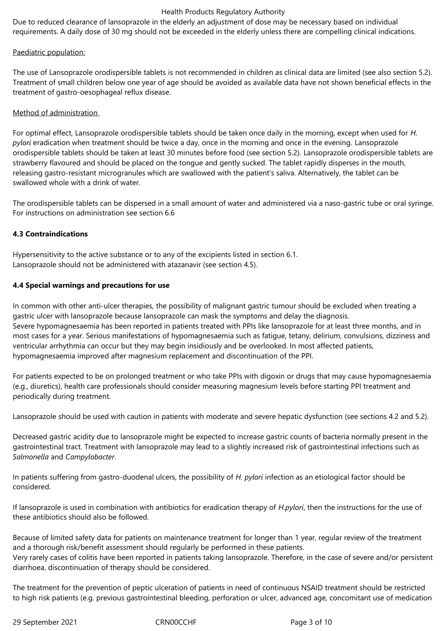Due to reduced clearance of lansoprazole in the elderly an adjustment of dose may be necessary based on individual requirements. A daily dose of 30 mg should not be exceeded in the elderly unless there are compelling clinical indications.

## Paediatric population:

The use of Lansoprazole orodispersible tablets is not recommended in children as clinical data are limited (see also section 5.2). Treatment of small children below one year of age should be avoided as available data have not shown beneficial effects in the treatment of gastro-oesophageal reflux disease.

## Method of administration

For optimal effect, Lansoprazole orodispersible tablets should be taken once daily in the morning, except when used for *H. pylori* eradication when treatment should be twice a day, once in the morning and once in the evening. Lansoprazole orodispersible tablets should be taken at least 30 minutes before food (see section 5.2). Lansoprazole orodispersible tablets are strawberry flavoured and should be placed on the tongue and gently sucked. The tablet rapidly disperses in the mouth, releasing gastro-resistant microgranules which are swallowed with the patient's saliva. Alternatively, the tablet can be swallowed whole with a drink of water.

The orodispersible tablets can be dispersed in a small amount of water and administered via a naso-gastric tube or oral syringe. For instructions on administration see section 6.6

## **4.3 Contraindications**

Hypersensitivity to the active substance or to any of the excipients listed in section 6.1. Lansoprazole should not be administered with atazanavir (see section 4.5).

## **4.4 Special warnings and precautions for use**

In common with other anti-ulcer therapies, the possibility of malignant gastric tumour should be excluded when treating a gastric ulcer with lansoprazole because lansoprazole can mask the symptoms and delay the diagnosis. Severe hypomagnesaemia has been reported in patients treated with PPIs like lansoprazole for at least three months, and in most cases for a year. Serious manifestations of hypomagnesaemia such as fatigue, tetany, delirium, convulsions, dizziness and ventricular arrhythmia can occur but they may begin insidiously and be overlooked. In most affected patients, hypomagnesaemia improved after magnesium replacement and discontinuation of the PPI.

For patients expected to be on prolonged treatment or who take PPIs with digoxin or drugs that may cause hypomagnesaemia (e.g., diuretics), health care professionals should consider measuring magnesium levels before starting PPI treatment and periodically during treatment.

Lansoprazole should be used with caution in patients with moderate and severe hepatic dysfunction (see sections 4.2 and 5.2).

Decreased gastric acidity due to lansoprazole might be expected to increase gastric counts of bacteria normally present in the gastrointestinal tract. Treatment with lansoprazole may lead to a slightly increased risk of gastrointestinal infections such as *Salmonella* and *Campylobacter*.

In patients suffering from gastro-duodenal ulcers, the possibility of *H. pylori* infection as an etiological factor should be considered.

If lansoprazole is used in combination with antibiotics for eradication therapy of *H.pylori*, then the instructions for the use of these antibiotics should also be followed.

Because of limited safety data for patients on maintenance treatment for longer than 1 year, regular review of the treatment and a thorough risk/benefit assessment should regularly be performed in these patients. Very rarely cases of colitis have been reported in patients taking lansoprazole. Therefore, in the case of severe and/or persistent diarrhoea, discontinuation of therapy should be considered.

The treatment for the prevention of peptic ulceration of patients in need of continuous NSAID treatment should be restricted to high risk patients (e.g. previous gastrointestinal bleeding, perforation or ulcer, advanced age, concomitant use of medication

29 September 2021 CRN00CCHF Page 3 of 10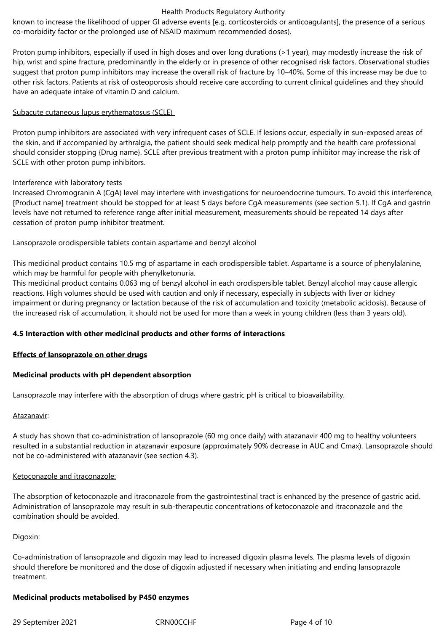known to increase the likelihood of upper GI adverse events [e.g. corticosteroids or anticoagulants], the presence of a serious co-morbidity factor or the prolonged use of NSAID maximum recommended doses).

Proton pump inhibitors, especially if used in high doses and over long durations (>1 year), may modestly increase the risk of hip, wrist and spine fracture, predominantly in the elderly or in presence of other recognised risk factors. Observational studies suggest that proton pump inhibitors may increase the overall risk of fracture by 10–40%. Some of this increase may be due to other risk factors. Patients at risk of osteoporosis should receive care according to current clinical guidelines and they should have an adequate intake of vitamin D and calcium.

## Subacute cutaneous lupus erythematosus (SCLE)

Proton pump inhibitors are associated with very infrequent cases of SCLE. If lesions occur, especially in sun-exposed areas of the skin, and if accompanied by arthralgia, the patient should seek medical help promptly and the health care professional should consider stopping {Drug name}. SCLE after previous treatment with a proton pump inhibitor may increase the risk of SCLE with other proton pump inhibitors.

## Interference with laboratory tests

Increased Chromogranin A (CgA) level may interfere with investigations for neuroendocrine tumours. To avoid this interference, [Product name] treatment should be stopped for at least 5 days before CgA measurements (see section 5.1). If CgA and gastrin levels have not returned to reference range after initial measurement, measurements should be repeated 14 days after cessation of proton pump inhibitor treatment.

Lansoprazole orodispersible tablets contain aspartame and benzyl alcohol

This medicinal product contains 10.5 mg of aspartame in each orodispersible tablet. Aspartame is a source of phenylalanine, which may be harmful for people with phenylketonuria.

This medicinal product contains 0.063 mg of benzyl alcohol in each orodispersible tablet. Benzyl alcohol may cause allergic reactions. High volumes should be used with caution and only if necessary, especially in subjects with liver or kidney impairment or during pregnancy or lactation because of the risk of accumulation and toxicity (metabolic acidosis). Because of the increased risk of accumulation, it should not be used for more than a week in young children (less than 3 years old).

# **4.5 Interaction with other medicinal products and other forms of interactions**

#### **Effects of lansoprazole on other drugs**

#### **Medicinal products with pH dependent absorption**

Lansoprazole may interfere with the absorption of drugs where gastric pH is critical to bioavailability.

#### Atazanavir:

A study has shown that co-administration of lansoprazole (60 mg once daily) with atazanavir 400 mg to healthy volunteers resulted in a substantial reduction in atazanavir exposure (approximately 90% decrease in AUC and Cmax). Lansoprazole should not be co-administered with atazanavir (see section 4.3).

#### Ketoconazole and itraconazole:

The absorption of ketoconazole and itraconazole from the gastrointestinal tract is enhanced by the presence of gastric acid. Administration of lansoprazole may result in sub-therapeutic concentrations of ketoconazole and itraconazole and the combination should be avoided.

#### Digoxin:

Co-administration of lansoprazole and digoxin may lead to increased digoxin plasma levels. The plasma levels of digoxin should therefore be monitored and the dose of digoxin adjusted if necessary when initiating and ending lansoprazole treatment.

#### **Medicinal products metabolised by P450 enzymes**

29 September 2021 CRN00CCHF Page 4 of 10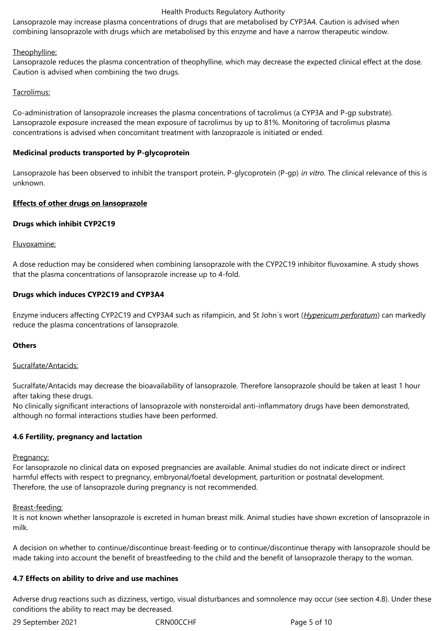Lansoprazole may increase plasma concentrations of drugs that are metabolised by CYP3A4. Caution is advised when combining lansoprazole with drugs which are metabolised by this enzyme and have a narrow therapeutic window.

## Theophylline:

Lansoprazole reduces the plasma concentration of theophylline, which may decrease the expected clinical effect at the dose. Caution is advised when combining the two drugs.

## Tacrolimus:

Co-administration of lansoprazole increases the plasma concentrations of tacrolimus (a CYP3A and P-gp substrate). Lansoprazole exposure increased the mean exposure of tacrolimus by up to 81%. Monitoring of tacrolimus plasma concentrations is advised when concomitant treatment with lanzoprazole is initiated or ended.

# **Medicinal products transported by P-glycoprotein**

Lansoprazole has been observed to inhibit the transport protein, P-glycoprotein (P-gp) *in vitro*. The clinical relevance of this is unknown.

## **Effects of other drugs on lansoprazole**

## **Drugs which inhibit CYP2C19**

#### Fluvoxamine:

A dose reduction may be considered when combining lansoprazole with the CYP2C19 inhibitor fluvoxamine. A study shows that the plasma concentrations of lansoprazole increase up to 4-fold.

## **Drugs which induces CYP2C19 and CYP3A4**

Enzyme inducers affecting CYP2C19 and CYP3A4 such as rifampicin, and St John´s wort (*Hypericum perforatum*) can markedly reduce the plasma concentrations of lansoprazole.

#### **Others**

#### Sucralfate/Antacids:

Sucralfate/Antacids may decrease the bioavailability of lansoprazole. Therefore lansoprazole should be taken at least 1 hour after taking these drugs.

No clinically significant interactions of lansoprazole with nonsteroidal anti-inflammatory drugs have been demonstrated, although no formal interactions studies have been performed.

# **4.6 Fertility, pregnancy and lactation**

#### Pregnancy:

For lansoprazole no clinical data on exposed pregnancies are available. Animal studies do not indicate direct or indirect harmful effects with respect to pregnancy, embryonal/foetal development, parturition or postnatal development. Therefore, the use of lansoprazole during pregnancy is not recommended.

#### Breast-feeding:

It is not known whether lansoprazole is excreted in human breast milk. Animal studies have shown excretion of lansoprazole in milk.

A decision on whether to continue/discontinue breast-feeding or to continue/discontinue therapy with lansoprazole should be made taking into account the benefit of breastfeeding to the child and the benefit of lansoprazole therapy to the woman.

# **4.7 Effects on ability to drive and use machines**

Adverse drug reactions such as dizziness, vertigo*,* visual disturbances and somnolence may occur (see section 4.8). Under these conditions the ability to react may be decreased.

29 September 2021 CRN00CCHF Page 5 of 10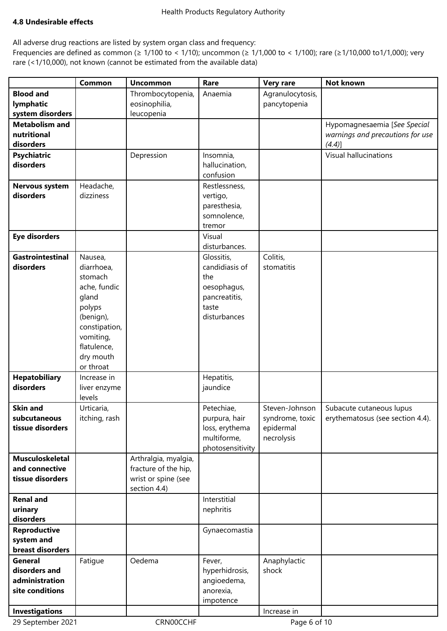## **4.8 Undesirable effects**

All adverse drug reactions are listed by system organ class and frequency:

Frequencies are defined as common (≥ 1/100 to < 1/10); uncommon (≥ 1/1,000 to < 1/100); rare (≥1/10,000 to1/1,000); very rare (<1/10,000), not known (cannot be estimated from the available data)

| <b>Blood and</b><br>Thrombocytopenia,<br>Agranulocytosis,<br>Anaemia<br>lymphatic<br>eosinophilia,<br>pancytopenia<br>system disorders<br>leucopenia<br><b>Metabolism and</b><br>Hypomagnesaemia [See Special<br>nutritional<br>warnings and precautions for use<br>disorders<br>$(4.4)$ ]<br><b>Visual hallucinations</b><br><b>Psychiatric</b><br>Depression<br>Insomnia,<br>disorders<br>hallucination,<br>confusion<br>Headache,<br><b>Nervous system</b><br>Restlessness,<br>disorders<br>dizziness<br>vertigo,<br>paresthesia,<br>somnolence,<br>tremor<br><b>Eye disorders</b><br>Visual<br>disturbances.<br>Colitis,<br><b>Gastrointestinal</b><br>Nausea,<br>Glossitis,<br>candidiasis of<br>disorders<br>diarrhoea,<br>stomatitis<br>stomach<br>the<br>ache, fundic<br>oesophagus,<br>gland<br>pancreatitis,<br>polyps<br>taste<br>(benign),<br>disturbances<br>constipation,<br>vomiting,<br>flatulence,<br>dry mouth<br>or throat<br><b>Hepatobiliary</b><br>Hepatitis,<br>Increase in<br>disorders<br>jaundice<br>liver enzyme<br>levels<br><b>Skin and</b><br>Petechiae,<br>Urticaria,<br>Steven-Johnson<br>Subacute cutaneous lupus<br>itching, rash<br>subcutaneous<br>purpura, hair<br>syndrome, toxic<br>erythematosus (see section 4.4).<br>tissue disorders<br>loss, erythema<br>epidermal<br>multiforme,<br>necrolysis<br>photosensitivity<br>Arthralgia, myalgia,<br><b>Musculoskeletal</b><br>fracture of the hip,<br>and connective<br>tissue disorders<br>wrist or spine (see<br>section 4.4)<br>Interstitial<br><b>Renal and</b><br>urinary<br>nephritis<br>disorders<br><b>Reproductive</b><br>Gynaecomastia<br>system and<br>breast disorders<br>Anaphylactic<br>General<br>Fatigue<br>Oedema<br>Fever,<br>disorders and<br>shock<br>hyperhidrosis,<br>administration<br>angioedema,<br>site conditions<br>anorexia,<br>impotence<br><b>Investigations</b><br>Increase in |                   | Common | <b>Uncommon</b> | Rare | <b>Very rare</b> | <b>Not known</b> |
|-------------------------------------------------------------------------------------------------------------------------------------------------------------------------------------------------------------------------------------------------------------------------------------------------------------------------------------------------------------------------------------------------------------------------------------------------------------------------------------------------------------------------------------------------------------------------------------------------------------------------------------------------------------------------------------------------------------------------------------------------------------------------------------------------------------------------------------------------------------------------------------------------------------------------------------------------------------------------------------------------------------------------------------------------------------------------------------------------------------------------------------------------------------------------------------------------------------------------------------------------------------------------------------------------------------------------------------------------------------------------------------------------------------------------------------------------------------------------------------------------------------------------------------------------------------------------------------------------------------------------------------------------------------------------------------------------------------------------------------------------------------------------------------------------------------------------------------------------------------------------------------------------------|-------------------|--------|-----------------|------|------------------|------------------|
|                                                                                                                                                                                                                                                                                                                                                                                                                                                                                                                                                                                                                                                                                                                                                                                                                                                                                                                                                                                                                                                                                                                                                                                                                                                                                                                                                                                                                                                                                                                                                                                                                                                                                                                                                                                                                                                                                                       |                   |        |                 |      |                  |                  |
|                                                                                                                                                                                                                                                                                                                                                                                                                                                                                                                                                                                                                                                                                                                                                                                                                                                                                                                                                                                                                                                                                                                                                                                                                                                                                                                                                                                                                                                                                                                                                                                                                                                                                                                                                                                                                                                                                                       |                   |        |                 |      |                  |                  |
|                                                                                                                                                                                                                                                                                                                                                                                                                                                                                                                                                                                                                                                                                                                                                                                                                                                                                                                                                                                                                                                                                                                                                                                                                                                                                                                                                                                                                                                                                                                                                                                                                                                                                                                                                                                                                                                                                                       |                   |        |                 |      |                  |                  |
|                                                                                                                                                                                                                                                                                                                                                                                                                                                                                                                                                                                                                                                                                                                                                                                                                                                                                                                                                                                                                                                                                                                                                                                                                                                                                                                                                                                                                                                                                                                                                                                                                                                                                                                                                                                                                                                                                                       |                   |        |                 |      |                  |                  |
|                                                                                                                                                                                                                                                                                                                                                                                                                                                                                                                                                                                                                                                                                                                                                                                                                                                                                                                                                                                                                                                                                                                                                                                                                                                                                                                                                                                                                                                                                                                                                                                                                                                                                                                                                                                                                                                                                                       |                   |        |                 |      |                  |                  |
|                                                                                                                                                                                                                                                                                                                                                                                                                                                                                                                                                                                                                                                                                                                                                                                                                                                                                                                                                                                                                                                                                                                                                                                                                                                                                                                                                                                                                                                                                                                                                                                                                                                                                                                                                                                                                                                                                                       |                   |        |                 |      |                  |                  |
|                                                                                                                                                                                                                                                                                                                                                                                                                                                                                                                                                                                                                                                                                                                                                                                                                                                                                                                                                                                                                                                                                                                                                                                                                                                                                                                                                                                                                                                                                                                                                                                                                                                                                                                                                                                                                                                                                                       |                   |        |                 |      |                  |                  |
|                                                                                                                                                                                                                                                                                                                                                                                                                                                                                                                                                                                                                                                                                                                                                                                                                                                                                                                                                                                                                                                                                                                                                                                                                                                                                                                                                                                                                                                                                                                                                                                                                                                                                                                                                                                                                                                                                                       |                   |        |                 |      |                  |                  |
|                                                                                                                                                                                                                                                                                                                                                                                                                                                                                                                                                                                                                                                                                                                                                                                                                                                                                                                                                                                                                                                                                                                                                                                                                                                                                                                                                                                                                                                                                                                                                                                                                                                                                                                                                                                                                                                                                                       |                   |        |                 |      |                  |                  |
|                                                                                                                                                                                                                                                                                                                                                                                                                                                                                                                                                                                                                                                                                                                                                                                                                                                                                                                                                                                                                                                                                                                                                                                                                                                                                                                                                                                                                                                                                                                                                                                                                                                                                                                                                                                                                                                                                                       |                   |        |                 |      |                  |                  |
|                                                                                                                                                                                                                                                                                                                                                                                                                                                                                                                                                                                                                                                                                                                                                                                                                                                                                                                                                                                                                                                                                                                                                                                                                                                                                                                                                                                                                                                                                                                                                                                                                                                                                                                                                                                                                                                                                                       |                   |        |                 |      |                  |                  |
|                                                                                                                                                                                                                                                                                                                                                                                                                                                                                                                                                                                                                                                                                                                                                                                                                                                                                                                                                                                                                                                                                                                                                                                                                                                                                                                                                                                                                                                                                                                                                                                                                                                                                                                                                                                                                                                                                                       |                   |        |                 |      |                  |                  |
|                                                                                                                                                                                                                                                                                                                                                                                                                                                                                                                                                                                                                                                                                                                                                                                                                                                                                                                                                                                                                                                                                                                                                                                                                                                                                                                                                                                                                                                                                                                                                                                                                                                                                                                                                                                                                                                                                                       |                   |        |                 |      |                  |                  |
|                                                                                                                                                                                                                                                                                                                                                                                                                                                                                                                                                                                                                                                                                                                                                                                                                                                                                                                                                                                                                                                                                                                                                                                                                                                                                                                                                                                                                                                                                                                                                                                                                                                                                                                                                                                                                                                                                                       |                   |        |                 |      |                  |                  |
|                                                                                                                                                                                                                                                                                                                                                                                                                                                                                                                                                                                                                                                                                                                                                                                                                                                                                                                                                                                                                                                                                                                                                                                                                                                                                                                                                                                                                                                                                                                                                                                                                                                                                                                                                                                                                                                                                                       |                   |        |                 |      |                  |                  |
|                                                                                                                                                                                                                                                                                                                                                                                                                                                                                                                                                                                                                                                                                                                                                                                                                                                                                                                                                                                                                                                                                                                                                                                                                                                                                                                                                                                                                                                                                                                                                                                                                                                                                                                                                                                                                                                                                                       |                   |        |                 |      |                  |                  |
|                                                                                                                                                                                                                                                                                                                                                                                                                                                                                                                                                                                                                                                                                                                                                                                                                                                                                                                                                                                                                                                                                                                                                                                                                                                                                                                                                                                                                                                                                                                                                                                                                                                                                                                                                                                                                                                                                                       |                   |        |                 |      |                  |                  |
|                                                                                                                                                                                                                                                                                                                                                                                                                                                                                                                                                                                                                                                                                                                                                                                                                                                                                                                                                                                                                                                                                                                                                                                                                                                                                                                                                                                                                                                                                                                                                                                                                                                                                                                                                                                                                                                                                                       |                   |        |                 |      |                  |                  |
|                                                                                                                                                                                                                                                                                                                                                                                                                                                                                                                                                                                                                                                                                                                                                                                                                                                                                                                                                                                                                                                                                                                                                                                                                                                                                                                                                                                                                                                                                                                                                                                                                                                                                                                                                                                                                                                                                                       |                   |        |                 |      |                  |                  |
|                                                                                                                                                                                                                                                                                                                                                                                                                                                                                                                                                                                                                                                                                                                                                                                                                                                                                                                                                                                                                                                                                                                                                                                                                                                                                                                                                                                                                                                                                                                                                                                                                                                                                                                                                                                                                                                                                                       |                   |        |                 |      |                  |                  |
|                                                                                                                                                                                                                                                                                                                                                                                                                                                                                                                                                                                                                                                                                                                                                                                                                                                                                                                                                                                                                                                                                                                                                                                                                                                                                                                                                                                                                                                                                                                                                                                                                                                                                                                                                                                                                                                                                                       |                   |        |                 |      |                  |                  |
|                                                                                                                                                                                                                                                                                                                                                                                                                                                                                                                                                                                                                                                                                                                                                                                                                                                                                                                                                                                                                                                                                                                                                                                                                                                                                                                                                                                                                                                                                                                                                                                                                                                                                                                                                                                                                                                                                                       |                   |        |                 |      |                  |                  |
|                                                                                                                                                                                                                                                                                                                                                                                                                                                                                                                                                                                                                                                                                                                                                                                                                                                                                                                                                                                                                                                                                                                                                                                                                                                                                                                                                                                                                                                                                                                                                                                                                                                                                                                                                                                                                                                                                                       |                   |        |                 |      |                  |                  |
|                                                                                                                                                                                                                                                                                                                                                                                                                                                                                                                                                                                                                                                                                                                                                                                                                                                                                                                                                                                                                                                                                                                                                                                                                                                                                                                                                                                                                                                                                                                                                                                                                                                                                                                                                                                                                                                                                                       |                   |        |                 |      |                  |                  |
|                                                                                                                                                                                                                                                                                                                                                                                                                                                                                                                                                                                                                                                                                                                                                                                                                                                                                                                                                                                                                                                                                                                                                                                                                                                                                                                                                                                                                                                                                                                                                                                                                                                                                                                                                                                                                                                                                                       |                   |        |                 |      |                  |                  |
|                                                                                                                                                                                                                                                                                                                                                                                                                                                                                                                                                                                                                                                                                                                                                                                                                                                                                                                                                                                                                                                                                                                                                                                                                                                                                                                                                                                                                                                                                                                                                                                                                                                                                                                                                                                                                                                                                                       |                   |        |                 |      |                  |                  |
|                                                                                                                                                                                                                                                                                                                                                                                                                                                                                                                                                                                                                                                                                                                                                                                                                                                                                                                                                                                                                                                                                                                                                                                                                                                                                                                                                                                                                                                                                                                                                                                                                                                                                                                                                                                                                                                                                                       |                   |        |                 |      |                  |                  |
|                                                                                                                                                                                                                                                                                                                                                                                                                                                                                                                                                                                                                                                                                                                                                                                                                                                                                                                                                                                                                                                                                                                                                                                                                                                                                                                                                                                                                                                                                                                                                                                                                                                                                                                                                                                                                                                                                                       |                   |        |                 |      |                  |                  |
|                                                                                                                                                                                                                                                                                                                                                                                                                                                                                                                                                                                                                                                                                                                                                                                                                                                                                                                                                                                                                                                                                                                                                                                                                                                                                                                                                                                                                                                                                                                                                                                                                                                                                                                                                                                                                                                                                                       |                   |        |                 |      |                  |                  |
|                                                                                                                                                                                                                                                                                                                                                                                                                                                                                                                                                                                                                                                                                                                                                                                                                                                                                                                                                                                                                                                                                                                                                                                                                                                                                                                                                                                                                                                                                                                                                                                                                                                                                                                                                                                                                                                                                                       |                   |        |                 |      |                  |                  |
|                                                                                                                                                                                                                                                                                                                                                                                                                                                                                                                                                                                                                                                                                                                                                                                                                                                                                                                                                                                                                                                                                                                                                                                                                                                                                                                                                                                                                                                                                                                                                                                                                                                                                                                                                                                                                                                                                                       |                   |        |                 |      |                  |                  |
|                                                                                                                                                                                                                                                                                                                                                                                                                                                                                                                                                                                                                                                                                                                                                                                                                                                                                                                                                                                                                                                                                                                                                                                                                                                                                                                                                                                                                                                                                                                                                                                                                                                                                                                                                                                                                                                                                                       |                   |        |                 |      |                  |                  |
|                                                                                                                                                                                                                                                                                                                                                                                                                                                                                                                                                                                                                                                                                                                                                                                                                                                                                                                                                                                                                                                                                                                                                                                                                                                                                                                                                                                                                                                                                                                                                                                                                                                                                                                                                                                                                                                                                                       |                   |        |                 |      |                  |                  |
|                                                                                                                                                                                                                                                                                                                                                                                                                                                                                                                                                                                                                                                                                                                                                                                                                                                                                                                                                                                                                                                                                                                                                                                                                                                                                                                                                                                                                                                                                                                                                                                                                                                                                                                                                                                                                                                                                                       |                   |        |                 |      |                  |                  |
|                                                                                                                                                                                                                                                                                                                                                                                                                                                                                                                                                                                                                                                                                                                                                                                                                                                                                                                                                                                                                                                                                                                                                                                                                                                                                                                                                                                                                                                                                                                                                                                                                                                                                                                                                                                                                                                                                                       |                   |        |                 |      |                  |                  |
|                                                                                                                                                                                                                                                                                                                                                                                                                                                                                                                                                                                                                                                                                                                                                                                                                                                                                                                                                                                                                                                                                                                                                                                                                                                                                                                                                                                                                                                                                                                                                                                                                                                                                                                                                                                                                                                                                                       |                   |        |                 |      |                  |                  |
|                                                                                                                                                                                                                                                                                                                                                                                                                                                                                                                                                                                                                                                                                                                                                                                                                                                                                                                                                                                                                                                                                                                                                                                                                                                                                                                                                                                                                                                                                                                                                                                                                                                                                                                                                                                                                                                                                                       |                   |        |                 |      |                  |                  |
|                                                                                                                                                                                                                                                                                                                                                                                                                                                                                                                                                                                                                                                                                                                                                                                                                                                                                                                                                                                                                                                                                                                                                                                                                                                                                                                                                                                                                                                                                                                                                                                                                                                                                                                                                                                                                                                                                                       |                   |        |                 |      |                  |                  |
|                                                                                                                                                                                                                                                                                                                                                                                                                                                                                                                                                                                                                                                                                                                                                                                                                                                                                                                                                                                                                                                                                                                                                                                                                                                                                                                                                                                                                                                                                                                                                                                                                                                                                                                                                                                                                                                                                                       |                   |        |                 |      |                  |                  |
|                                                                                                                                                                                                                                                                                                                                                                                                                                                                                                                                                                                                                                                                                                                                                                                                                                                                                                                                                                                                                                                                                                                                                                                                                                                                                                                                                                                                                                                                                                                                                                                                                                                                                                                                                                                                                                                                                                       |                   |        |                 |      |                  |                  |
|                                                                                                                                                                                                                                                                                                                                                                                                                                                                                                                                                                                                                                                                                                                                                                                                                                                                                                                                                                                                                                                                                                                                                                                                                                                                                                                                                                                                                                                                                                                                                                                                                                                                                                                                                                                                                                                                                                       |                   |        |                 |      |                  |                  |
|                                                                                                                                                                                                                                                                                                                                                                                                                                                                                                                                                                                                                                                                                                                                                                                                                                                                                                                                                                                                                                                                                                                                                                                                                                                                                                                                                                                                                                                                                                                                                                                                                                                                                                                                                                                                                                                                                                       |                   |        |                 |      |                  |                  |
|                                                                                                                                                                                                                                                                                                                                                                                                                                                                                                                                                                                                                                                                                                                                                                                                                                                                                                                                                                                                                                                                                                                                                                                                                                                                                                                                                                                                                                                                                                                                                                                                                                                                                                                                                                                                                                                                                                       |                   |        |                 |      |                  |                  |
|                                                                                                                                                                                                                                                                                                                                                                                                                                                                                                                                                                                                                                                                                                                                                                                                                                                                                                                                                                                                                                                                                                                                                                                                                                                                                                                                                                                                                                                                                                                                                                                                                                                                                                                                                                                                                                                                                                       |                   |        |                 |      |                  |                  |
|                                                                                                                                                                                                                                                                                                                                                                                                                                                                                                                                                                                                                                                                                                                                                                                                                                                                                                                                                                                                                                                                                                                                                                                                                                                                                                                                                                                                                                                                                                                                                                                                                                                                                                                                                                                                                                                                                                       |                   |        |                 |      |                  |                  |
|                                                                                                                                                                                                                                                                                                                                                                                                                                                                                                                                                                                                                                                                                                                                                                                                                                                                                                                                                                                                                                                                                                                                                                                                                                                                                                                                                                                                                                                                                                                                                                                                                                                                                                                                                                                                                                                                                                       |                   |        |                 |      |                  |                  |
|                                                                                                                                                                                                                                                                                                                                                                                                                                                                                                                                                                                                                                                                                                                                                                                                                                                                                                                                                                                                                                                                                                                                                                                                                                                                                                                                                                                                                                                                                                                                                                                                                                                                                                                                                                                                                                                                                                       |                   |        |                 |      |                  |                  |
|                                                                                                                                                                                                                                                                                                                                                                                                                                                                                                                                                                                                                                                                                                                                                                                                                                                                                                                                                                                                                                                                                                                                                                                                                                                                                                                                                                                                                                                                                                                                                                                                                                                                                                                                                                                                                                                                                                       |                   |        |                 |      |                  |                  |
|                                                                                                                                                                                                                                                                                                                                                                                                                                                                                                                                                                                                                                                                                                                                                                                                                                                                                                                                                                                                                                                                                                                                                                                                                                                                                                                                                                                                                                                                                                                                                                                                                                                                                                                                                                                                                                                                                                       |                   |        |                 |      |                  |                  |
|                                                                                                                                                                                                                                                                                                                                                                                                                                                                                                                                                                                                                                                                                                                                                                                                                                                                                                                                                                                                                                                                                                                                                                                                                                                                                                                                                                                                                                                                                                                                                                                                                                                                                                                                                                                                                                                                                                       |                   |        |                 |      |                  |                  |
|                                                                                                                                                                                                                                                                                                                                                                                                                                                                                                                                                                                                                                                                                                                                                                                                                                                                                                                                                                                                                                                                                                                                                                                                                                                                                                                                                                                                                                                                                                                                                                                                                                                                                                                                                                                                                                                                                                       |                   |        |                 |      |                  |                  |
|                                                                                                                                                                                                                                                                                                                                                                                                                                                                                                                                                                                                                                                                                                                                                                                                                                                                                                                                                                                                                                                                                                                                                                                                                                                                                                                                                                                                                                                                                                                                                                                                                                                                                                                                                                                                                                                                                                       | 29 September 2021 |        | CRN00CCHF       |      | Page 6 of 10     |                  |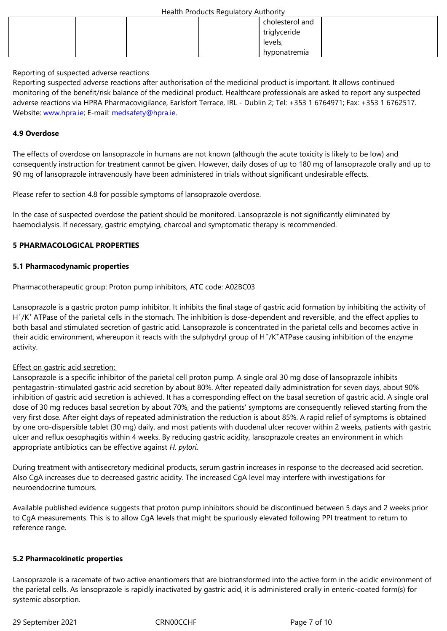| Health Products Regulatory Authority |  |
|--------------------------------------|--|
|--------------------------------------|--|

| $\tilde{\phantom{a}}$ | cholesterol and |  |
|-----------------------|-----------------|--|
|                       | triglyceride    |  |
|                       | levels,         |  |
|                       | hyponatremia    |  |

Reporting of suspected adverse reactions

Reporting suspected adverse reactions after authorisation of the medicinal product is important. It allows continued monitoring of the benefit/risk balance of the medicinal product. Healthcare professionals are asked to report any suspected adverse reactions via HPRA Pharmacovigilance, Earlsfort Terrace, IRL - Dublin 2; Tel: +353 1 6764971; Fax: +353 1 6762517. Website: www.hpra.ie; E-mail: medsafety@hpra.ie.

## **4.9 Overdose**

The effects of overdose on lansoprazole in humans are not known (although the acute toxicity is likely to be low) and consequently instruction for treatment cannot be given. However, daily doses of up to 180 mg of lansoprazole orally and up to 90 mg of lansoprazole intravenously have been administered in trials without significant undesirable effects.

Please refer to section 4.8 for possible symptoms of lansoprazole overdose.

In the case of suspected overdose the patient should be monitored. Lansoprazole is not significantly eliminated by haemodialysis. If necessary, gastric emptying, charcoal and symptomatic therapy is recommended.

## **5 PHARMACOLOGICAL PROPERTIES**

## **5.1 Pharmacodynamic properties**

Pharmacotherapeutic group: Proton pump inhibitors, ATC code: A02BC03

Lansoprazole is a gastric proton pump inhibitor. It inhibits the final stage of gastric acid formation by inhibiting the activity of H<sup>+</sup>/K<sup>+</sup> ATPase of the parietal cells in the stomach. The inhibition is dose-dependent and reversible, and the effect applies to both basal and stimulated secretion of gastric acid. Lansoprazole is concentrated in the parietal cells and becomes active in their acidic environment, whereupon it reacts with the sulphydryl group of H<sup>+</sup>/K<sup>+</sup>ATPase causing inhibition of the enzyme activity.

#### Effect on gastric acid secretion:

Lansoprazole is a specific inhibitor of the parietal cell proton pump. A single oral 30 mg dose of lansoprazole inhibits pentagastrin-stimulated gastric acid secretion by about 80%. After repeated daily administration for seven days, about 90% inhibition of gastric acid secretion is achieved. It has a corresponding effect on the basal secretion of gastric acid. A single oral dose of 30 mg reduces basal secretion by about 70%, and the patients' symptoms are consequently relieved starting from the very first dose. After eight days of repeated administration the reduction is about 85%. A rapid relief of symptoms is obtained by one oro-dispersible tablet (30 mg) daily, and most patients with duodenal ulcer recover within 2 weeks, patients with gastric ulcer and reflux oesophagitis within 4 weeks. By reducing gastric acidity, lansoprazole creates an environment in which appropriate antibiotics can be effective against *H. pylori.*

During treatment with antisecretory medicinal products, serum gastrin increases in response to the decreased acid secretion. Also CgA increases due to decreased gastric acidity. The increased CgA level may interfere with investigations for neuroendocrine tumours.

Available published evidence suggests that proton pump inhibitors should be discontinued between 5 days and 2 weeks prior to CgA measurements. This is to allow CgA levels that might be spuriously elevated following PPI treatment to return to reference range.

#### **5.2 Pharmacokinetic properties**

Lansoprazole is a racemate of two active enantiomers that are biotransformed into the active form in the acidic environment of the parietal cells. As lansoprazole is rapidly inactivated by gastric acid, it is administered orally in enteric-coated form(s) for systemic absorption.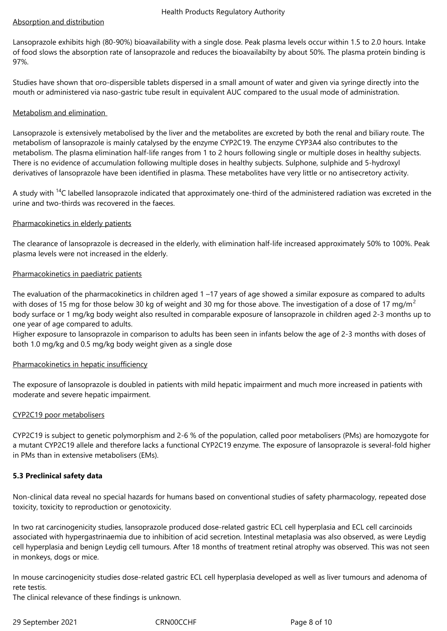## Absorption and distribution

Lansoprazole exhibits high (80-90%) bioavailability with a single dose. Peak plasma levels occur within 1.5 to 2.0 hours. Intake of food slows the absorption rate of lansoprazole and reduces the bioavailabilty by about 50%. The plasma protein binding is 97%.

Studies have shown that oro-dispersible tablets dispersed in a small amount of water and given via syringe directly into the mouth or administered via naso-gastric tube result in equivalent AUC compared to the usual mode of administration.

## Metabolism and elimination

Lansoprazole is extensively metabolised by the liver and the metabolites are excreted by both the renal and biliary route. The metabolism of lansoprazole is mainly catalysed by the enzyme CYP2C19. The enzyme CYP3A4 also contributes to the metabolism. The plasma elimination half-life ranges from 1 to 2 hours following single or multiple doses in healthy subjects. There is no evidence of accumulation following multiple doses in healthy subjects. Sulphone, sulphide and 5-hydroxyl derivatives of lansoprazole have been identified in plasma. These metabolites have very little or no antisecretory activity.

A study with  $^{14}$ C labelled lansoprazole indicated that approximately one-third of the administered radiation was excreted in the urine and two-thirds was recovered in the faeces.

## Pharmacokinetics in elderly patients

The clearance of lansoprazole is decreased in the elderly, with elimination half-life increased approximately 50% to 100%. Peak plasma levels were not increased in the elderly.

## Pharmacokinetics in paediatric patients

The evaluation of the pharmacokinetics in children aged 1 –17 years of age showed a similar exposure as compared to adults with doses of 15 mg for those below 30 kg of weight and 30 mg for those above. The investigation of a dose of 17 mg/m<sup>2</sup> body surface or 1 mg/kg body weight also resulted in comparable exposure of lansoprazole in children aged 2-3 months up to one year of age compared to adults.

Higher exposure to lansoprazole in comparison to adults has been seen in infants below the age of 2-3 months with doses of both 1.0 mg/kg and 0.5 mg/kg body weight given as a single dose

#### Pharmacokinetics in hepatic insufficiency

The exposure of lansoprazole is doubled in patients with mild hepatic impairment and much more increased in patients with moderate and severe hepatic impairment.

#### CYP2C19 poor metabolisers

CYP2C19 is subject to genetic polymorphism and 2-6 % of the population, called poor metabolisers (PMs) are homozygote for a mutant CYP2C19 allele and therefore lacks a functional CYP2C19 enzyme. The exposure of lansoprazole is several-fold higher in PMs than in extensive metabolisers (EMs).

#### **5.3 Preclinical safety data**

Non-clinical data reveal no special hazards for humans based on conventional studies of safety pharmacology, repeated dose toxicity, toxicity to reproduction or genotoxicity.

In two rat carcinogenicity studies, lansoprazole produced dose-related gastric ECL cell hyperplasia and ECL cell carcinoids associated with hypergastrinaemia due to inhibition of acid secretion. Intestinal metaplasia was also observed, as were Leydig cell hyperplasia and benign Leydig cell tumours. After 18 months of treatment retinal atrophy was observed. This was not seen in monkeys, dogs or mice.

In mouse carcinogenicity studies dose-related gastric ECL cell hyperplasia developed as well as liver tumours and adenoma of rete testis.

The clinical relevance of these findings is unknown.

29 September 2021 CRN00CCHF Page 8 of 10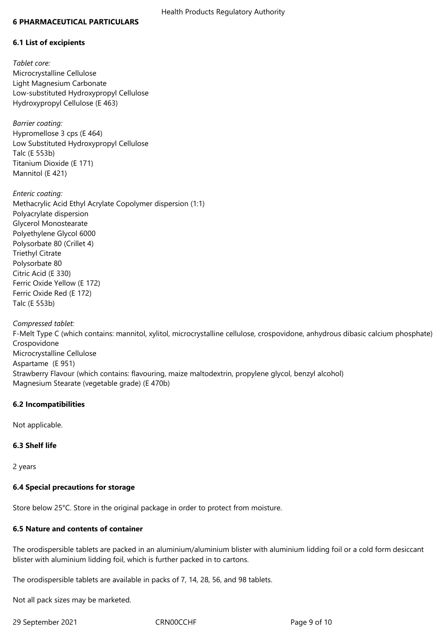#### **6 PHARMACEUTICAL PARTICULARS**

## **6.1 List of excipients**

*Tablet core:* Microcrystalline Cellulose Light Magnesium Carbonate Low-substituted Hydroxypropyl Cellulose Hydroxypropyl Cellulose (E 463)

*Barrier coating:*  Hypromellose 3 cps (E 464) Low Substituted Hydroxypropyl Cellulose Talc (E 553b) Titanium Dioxide (E 171) Mannitol (E 421)

*Enteric coating:* Methacrylic Acid Ethyl Acrylate Copolymer dispersion (1:1) Polyacrylate dispersion Glycerol Monostearate Polyethylene Glycol 6000 Polysorbate 80 (Crillet 4) Triethyl Citrate Polysorbate 80 Citric Acid (E 330) Ferric Oxide Yellow (E 172) Ferric Oxide Red (E 172) Talc (E 553b)

*Compressed tablet:*

F-Melt Type C (which contains: mannitol, xylitol, microcrystalline cellulose, crospovidone, anhydrous dibasic calcium phosphate) Crospovidone Microcrystalline Cellulose Aspartame (E 951) Strawberry Flavour (which contains: flavouring, maize maltodextrin, propylene glycol, benzyl alcohol) Magnesium Stearate (vegetable grade) (E 470b)

#### **6.2 Incompatibilities**

Not applicable.

#### **6.3 Shelf life**

2 years

# **6.4 Special precautions for storage**

Store below 25°C. Store in the original package in order to protect from moisture.

# **6.5 Nature and contents of container**

The orodispersible tablets are packed in an aluminium/aluminium blister with aluminium lidding foil or a cold form desiccant blister with aluminium lidding foil, which is further packed in to cartons.

The orodispersible tablets are available in packs of 7, 14, 28, 56, and 98 tablets.

Not all pack sizes may be marketed.

29 September 2021 CRN00CCHF Page 9 of 10